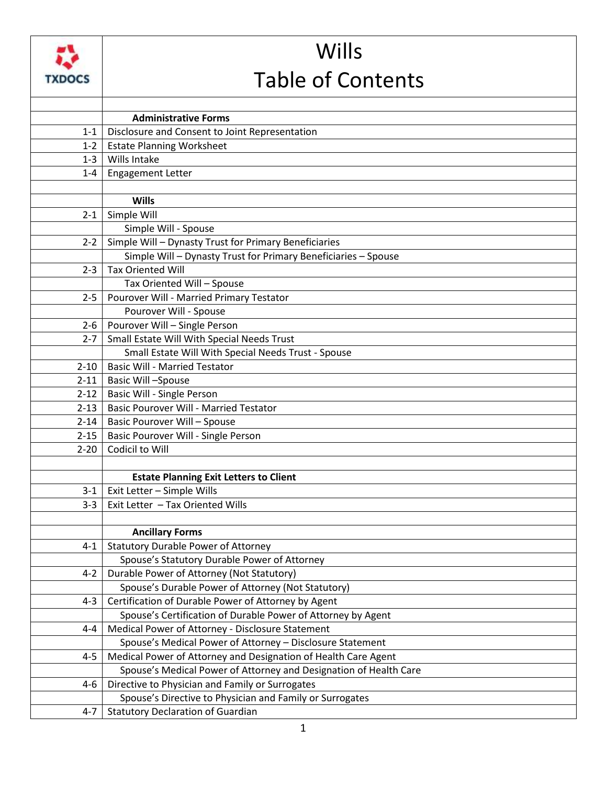

## Wills Table of Contents

|          | <b>Administrative Forms</b>                                       |
|----------|-------------------------------------------------------------------|
| $1 - 1$  | Disclosure and Consent to Joint Representation                    |
| $1 - 2$  | <b>Estate Planning Worksheet</b>                                  |
| $1 - 3$  | Wills Intake                                                      |
| $1 - 4$  | Engagement Letter                                                 |
|          |                                                                   |
|          | <b>Wills</b>                                                      |
| $2 - 1$  | Simple Will                                                       |
|          | Simple Will - Spouse                                              |
| $2 - 2$  | Simple Will - Dynasty Trust for Primary Beneficiaries             |
|          | Simple Will - Dynasty Trust for Primary Beneficiaries - Spouse    |
| $2 - 3$  | <b>Tax Oriented Will</b>                                          |
|          | Tax Oriented Will - Spouse                                        |
| $2 - 5$  | Pourover Will - Married Primary Testator                          |
|          | Pourover Will - Spouse                                            |
| $2 - 6$  | Pourover Will - Single Person                                     |
| $2 - 7$  | Small Estate Will With Special Needs Trust                        |
|          | Small Estate Will With Special Needs Trust - Spouse               |
| $2 - 10$ | <b>Basic Will - Married Testator</b>                              |
| $2 - 11$ | <b>Basic Will-Spouse</b>                                          |
| $2 - 12$ | Basic Will - Single Person                                        |
| $2 - 13$ | <b>Basic Pourover Will - Married Testator</b>                     |
| $2 - 14$ | <b>Basic Pourover Will - Spouse</b>                               |
| $2 - 15$ | Basic Pourover Will - Single Person                               |
| $2 - 20$ | Codicil to Will                                                   |
|          |                                                                   |
|          | <b>Estate Planning Exit Letters to Client</b>                     |
| $3 - 1$  | Exit Letter - Simple Wills                                        |
| $3 - 3$  | Exit Letter - Tax Oriented Wills                                  |
|          |                                                                   |
|          | <b>Ancillary Forms</b>                                            |
| $4 - 1$  | <b>Statutory Durable Power of Attorney</b>                        |
|          | Spouse's Statutory Durable Power of Attorney                      |
| $4 - 2$  | Durable Power of Attorney (Not Statutory)                         |
|          | Spouse's Durable Power of Attorney (Not Statutory)                |
| $4 - 3$  | Certification of Durable Power of Attorney by Agent               |
|          | Spouse's Certification of Durable Power of Attorney by Agent      |
| $4 - 4$  | Medical Power of Attorney - Disclosure Statement                  |
|          | Spouse's Medical Power of Attorney - Disclosure Statement         |
| $4 - 5$  | Medical Power of Attorney and Designation of Health Care Agent    |
|          | Spouse's Medical Power of Attorney and Designation of Health Care |
| 4-6      | Directive to Physician and Family or Surrogates                   |
|          | Spouse's Directive to Physician and Family or Surrogates          |
| $4 - 7$  | <b>Statutory Declaration of Guardian</b>                          |